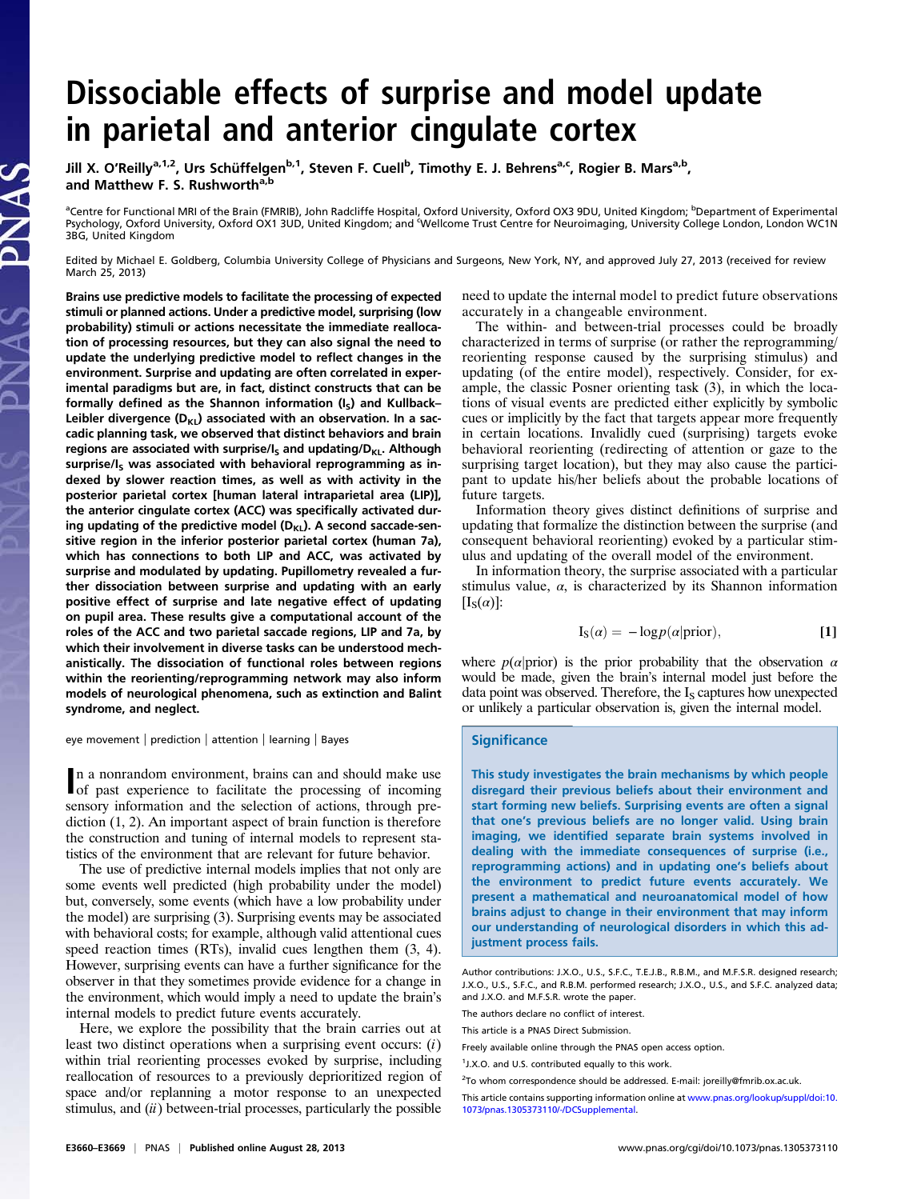# Dissociable effects of surprise and model update in parietal and anterior cingulate cortex

Jill X. O'Reilly<sup>a,1,2</sup>, Urs Schüffelgen<sup>b,1</sup>, Steven F. Cuell<sup>b</sup>, Timothy E. J. Behrens<sup>a,c</sup>, Rogier B. Mars<sup>a,b</sup>, and Matthew F. S. Rushworth<sup>a,b</sup>

<sup>a</sup>Centre for Functional MRI of the Brain (FMRIB), John Radcliffe Hospital, Oxford University, Oxford OX3 9DU, United Kingdom; <sup>b</sup>Department of Experimental Psychology, Oxford University, Oxford OX1 3UD, United Kingdom; and Wellcome Trust Centre for Neuroimaging, University College London, London WC1N 3BG, United Kingdom

Edited by Michael E. Goldberg, Columbia University College of Physicians and Surgeons, New York, NY, and approved July 27, 2013 (received for review March 25, 2013)

Brains use predictive models to facilitate the processing of expected stimuli or planned actions. Under a predictive model, surprising (low probability) stimuli or actions necessitate the immediate reallocation of processing resources, but they can also signal the need to update the underlying predictive model to reflect changes in the environment. Surprise and updating are often correlated in experimental paradigms but are, in fact, distinct constructs that can be formally defined as the Shannon information  $(I_5)$  and Kullback– Leibler divergence  $(D_{KL})$  associated with an observation. In a saccadic planning task, we observed that distinct behaviors and brain regions are associated with surprise/ $I_s$  and updating/ $D_{KL}$ . Although surprise/ $I<sub>S</sub>$  was associated with behavioral reprogramming as indexed by slower reaction times, as well as with activity in the posterior parietal cortex [human lateral intraparietal area (LIP)], the anterior cingulate cortex (ACC) was specifically activated during updating of the predictive model ( $D_{KL}$ ). A second saccade-sensitive region in the inferior posterior parietal cortex (human 7a), which has connections to both LIP and ACC, was activated by surprise and modulated by updating. Pupillometry revealed a further dissociation between surprise and updating with an early positive effect of surprise and late negative effect of updating on pupil area. These results give a computational account of the roles of the ACC and two parietal saccade regions, LIP and 7a, by which their involvement in diverse tasks can be understood mechanistically. The dissociation of functional roles between regions within the reorienting/reprogramming network may also inform models of neurological phenomena, such as extinction and Balint syndrome, and neglect.

eye movement | prediction | attention | learning | Bayes

In a nonrandom environment, brains can and should make use<br>of past experience to facilitate the processing of incoming n a nonrandom environment, brains can and should make use sensory information and the selection of actions, through prediction (1, 2). An important aspect of brain function is therefore the construction and tuning of internal models to represent statistics of the environment that are relevant for future behavior.

The use of predictive internal models implies that not only are some events well predicted (high probability under the model) but, conversely, some events (which have a low probability under the model) are surprising (3). Surprising events may be associated with behavioral costs; for example, although valid attentional cues speed reaction times (RTs), invalid cues lengthen them  $(3, 4)$ . However, surprising events can have a further significance for the observer in that they sometimes provide evidence for a change in the environment, which would imply a need to update the brain's internal models to predict future events accurately.

Here, we explore the possibility that the brain carries out at least two distinct operations when a surprising event occurs:  $(i)$ within trial reorienting processes evoked by surprise, including reallocation of resources to a previously deprioritized region of space and/or replanning a motor response to an unexpected stimulus, and  $(ii)$  between-trial processes, particularly the possible need to update the internal model to predict future observations accurately in a changeable environment.

The within- and between-trial processes could be broadly characterized in terms of surprise (or rather the reprogramming/ reorienting response caused by the surprising stimulus) and updating (of the entire model), respectively. Consider, for example, the classic Posner orienting task (3), in which the locations of visual events are predicted either explicitly by symbolic cues or implicitly by the fact that targets appear more frequently in certain locations. Invalidly cued (surprising) targets evoke behavioral reorienting (redirecting of attention or gaze to the surprising target location), but they may also cause the participant to update his/her beliefs about the probable locations of future targets.

Information theory gives distinct definitions of surprise and updating that formalize the distinction between the surprise (and consequent behavioral reorienting) evoked by a particular stimulus and updating of the overall model of the environment.

In information theory, the surprise associated with a particular stimulus value,  $\alpha$ , is characterized by its Shannon information  $[I_S(\alpha)]$ :

$$
I_S(\alpha) = -\log p(\alpha | prior), \qquad [1]
$$

where  $p(\alpha|prior)$  is the prior probability that the observation  $\alpha$ would be made, given the brain's internal model just before the data point was observed. Therefore, the  $I<sub>S</sub>$  captures how unexpected or unlikely a particular observation is, given the internal model.

### **Significance**

This study investigates the brain mechanisms by which people disregard their previous beliefs about their environment and start forming new beliefs. Surprising events are often a signal that one's previous beliefs are no longer valid. Using brain imaging, we identified separate brain systems involved in dealing with the immediate consequences of surprise (i.e., reprogramming actions) and in updating one's beliefs about the environment to predict future events accurately. We present a mathematical and neuroanatomical model of how brains adjust to change in their environment that may inform our understanding of neurological disorders in which this adjustment process fails.

The authors declare no conflict of interest.

Author contributions: J.X.O., U.S., S.F.C., T.E.J.B., R.B.M., and M.F.S.R. designed research; J.X.O., U.S., S.F.C., and R.B.M. performed research; J.X.O., U.S., and S.F.C. analyzed data; and J.X.O. and M.F.S.R. wrote the paper.

This article is a PNAS Direct Submission.

Freely available online through the PNAS open access option.

<sup>1</sup>J.X.O. and U.S. contributed equally to this work.

<sup>&</sup>lt;sup>2</sup>To whom correspondence should be addressed. E-mail: [joreilly@fmrib.ox.ac.uk](mailto:joreilly@fmrib.ox.ac.uk).

This article contains supporting information online at [www.pnas.org/lookup/suppl/doi:10.](http://www.pnas.org/lookup/suppl/doi:10.1073/pnas.1305373110/-/DCSupplemental) [1073/pnas.1305373110/-/DCSupplemental.](http://www.pnas.org/lookup/suppl/doi:10.1073/pnas.1305373110/-/DCSupplemental)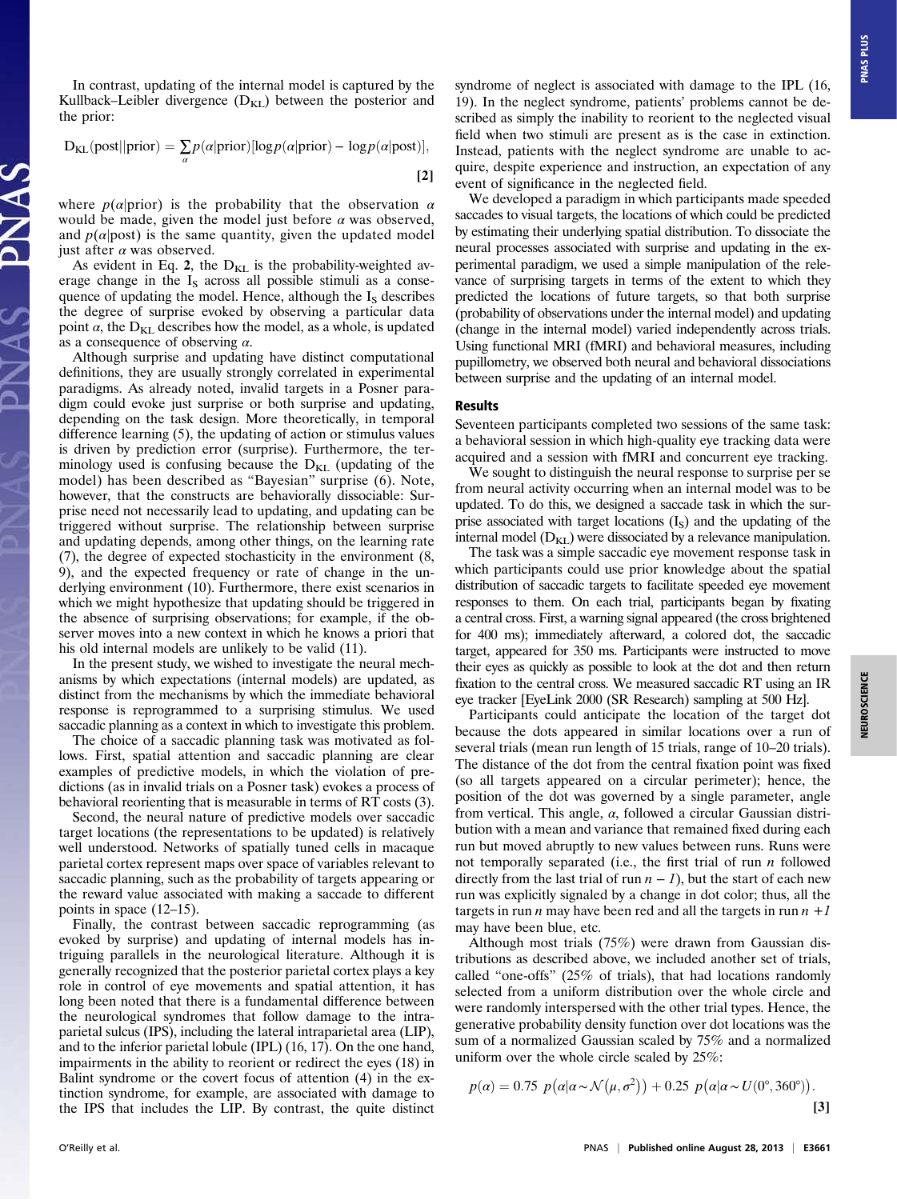In contrast, updating of the internal model is captured by the Kullback–Leibler divergence  $(D_{KL})$  between the posterior and the prior:

$$
D_{KL}(post||prior) = \sum_{\alpha} p(\alpha|prior)[log p(\alpha|prior) - log p(\alpha|post)],
$$
\n[2]

where  $p(a|prior)$  is the probability that the observation  $\alpha$ would be made, given the model just before  $\alpha$  was observed, and  $p(\alpha|post)$  is the same quantity, given the updated model just after  $\alpha$  was observed.

As evident in Eq. 2, the  $D_{KL}$  is the probability-weighted average change in the  $I<sub>S</sub>$  across all possible stimuli as a consequence of updating the model. Hence, although the  $I<sub>S</sub>$  describes the degree of surprise evoked by observing a particular data point  $\alpha$ , the D<sub>KL</sub> describes how the model, as a whole, is updated as a consequence of observing  $\alpha$ .

Although surprise and updating have distinct computational definitions, they are usually strongly correlated in experimental paradigms. As already noted, invalid targets in a Posner paradigm could evoke just surprise or both surprise and updating, depending on the task design. More theoretically, in temporal difference learning (5), the updating of action or stimulus values is driven by prediction error (surprise). Furthermore, the terminology used is confusing because the  $D_{KL}$  (updating of the model) has been described as "Bayesian" surprise (6). Note, however, that the constructs are behaviorally dissociable: Surprise need not necessarily lead to updating, and updating can be triggered without surprise. The relationship between surprise and updating depends, among other things, on the learning rate (7), the degree of expected stochasticity in the environment (8, 9), and the expected frequency or rate of change in the underlying environment (10). Furthermore, there exist scenarios in which we might hypothesize that updating should be triggered in the absence of surprising observations; for example, if the observer moves into a new context in which he knows a priori that his old internal models are unlikely to be valid (11).

In the present study, we wished to investigate the neural mechanisms by which expectations (internal models) are updated, as distinct from the mechanisms by which the immediate behavioral response is reprogrammed to a surprising stimulus. We used saccadic planning as a context in which to investigate this problem.

The choice of a saccadic planning task was motivated as follows. First, spatial attention and saccadic planning are clear examples of predictive models, in which the violation of predictions (as in invalid trials on a Posner task) evokes a process of behavioral reorienting that is measurable in terms of RT costs (3).

Second, the neural nature of predictive models over saccadic target locations (the representations to be updated) is relatively well understood. Networks of spatially tuned cells in macaque parietal cortex represent maps over space of variables relevant to saccadic planning, such as the probability of targets appearing or the reward value associated with making a saccade to different points in space (12–15).

Finally, the contrast between saccadic reprogramming (as evoked by surprise) and updating of internal models has intriguing parallels in the neurological literature. Although it is generally recognized that the posterior parietal cortex plays a key role in control of eye movements and spatial attention, it has long been noted that there is a fundamental difference between the neurological syndromes that follow damage to the intraparietal sulcus (IPS), including the lateral intraparietal area (LIP), and to the inferior parietal lobule (IPL) (16, 17). On the one hand, impairments in the ability to reorient or redirect the eyes (18) in Balint syndrome or the covert focus of attention (4) in the extinction syndrome, for example, are associated with damage to the IPS that includes the LIP. By contrast, the quite distinct syndrome of neglect is associated with damage to the IPL (16, 19). In the neglect syndrome, patients' problems cannot be described as simply the inability to reorient to the neglected visual field when two stimuli are present as is the case in extinction. Instead, patients with the neglect syndrome are unable to acquire, despite experience and instruction, an expectation of any event of significance in the neglected field.

We developed a paradigm in which participants made speeded saccades to visual targets, the locations of which could be predicted by estimating their underlying spatial distribution. To dissociate the neural processes associated with surprise and updating in the experimental paradigm, we used a simple manipulation of the relevance of surprising targets in terms of the extent to which they predicted the locations of future targets, so that both surprise (probability of observations under the internal model) and updating (change in the internal model) varied independently across trials. Using functional MRI (fMRI) and behavioral measures, including pupillometry, we observed both neural and behavioral dissociations between surprise and the updating of an internal model.

## Results

Seventeen participants completed two sessions of the same task: a behavioral session in which high-quality eye tracking data were acquired and a session with fMRI and concurrent eye tracking.

We sought to distinguish the neural response to surprise per se from neural activity occurring when an internal model was to be updated. To do this, we designed a saccade task in which the surprise associated with target locations  $(I<sub>S</sub>)$  and the updating of the internal model  $(D_{KL})$  were dissociated by a relevance manipulation.

The task was a simple saccadic eye movement response task in which participants could use prior knowledge about the spatial distribution of saccadic targets to facilitate speeded eye movement responses to them. On each trial, participants began by fixating a central cross. First, a warning signal appeared (the cross brightened for 400 ms); immediately afterward, a colored dot, the saccadic target, appeared for 350 ms. Participants were instructed to move their eyes as quickly as possible to look at the dot and then return fixation to the central cross. We measured saccadic RT using an IR eye tracker [EyeLink 2000 (SR Research) sampling at 500 Hz].

Participants could anticipate the location of the target dot because the dots appeared in similar locations over a run of several trials (mean run length of 15 trials, range of 10–20 trials). The distance of the dot from the central fixation point was fixed (so all targets appeared on a circular perimeter); hence, the position of the dot was governed by a single parameter, angle from vertical. This angle,  $\alpha$ , followed a circular Gaussian distribution with a mean and variance that remained fixed during each run but moved abruptly to new values between runs. Runs were not temporally separated (i.e., the first trial of run  $n$  followed directly from the last trial of run  $n - 1$ ), but the start of each new run was explicitly signaled by a change in dot color; thus, all the targets in run *n* may have been red and all the targets in run  $n +1$ may have been blue, etc.

Although most trials (75%) were drawn from Gaussian distributions as described above, we included another set of trials, called "one-offs" (25% of trials), that had locations randomly selected from a uniform distribution over the whole circle and were randomly interspersed with the other trial types. Hence, the generative probability density function over dot locations was the sum of a normalized Gaussian scaled by 75% and a normalized uniform over the whole circle scaled by 25%:

$$
p(\alpha) = 0.75 \ p(\alpha | \alpha \sim \mathcal{N}(\mu, \sigma^2)) + 0.25 \ p(\alpha | \alpha \sim U(0^\circ, 360^\circ)).
$$
\n[3]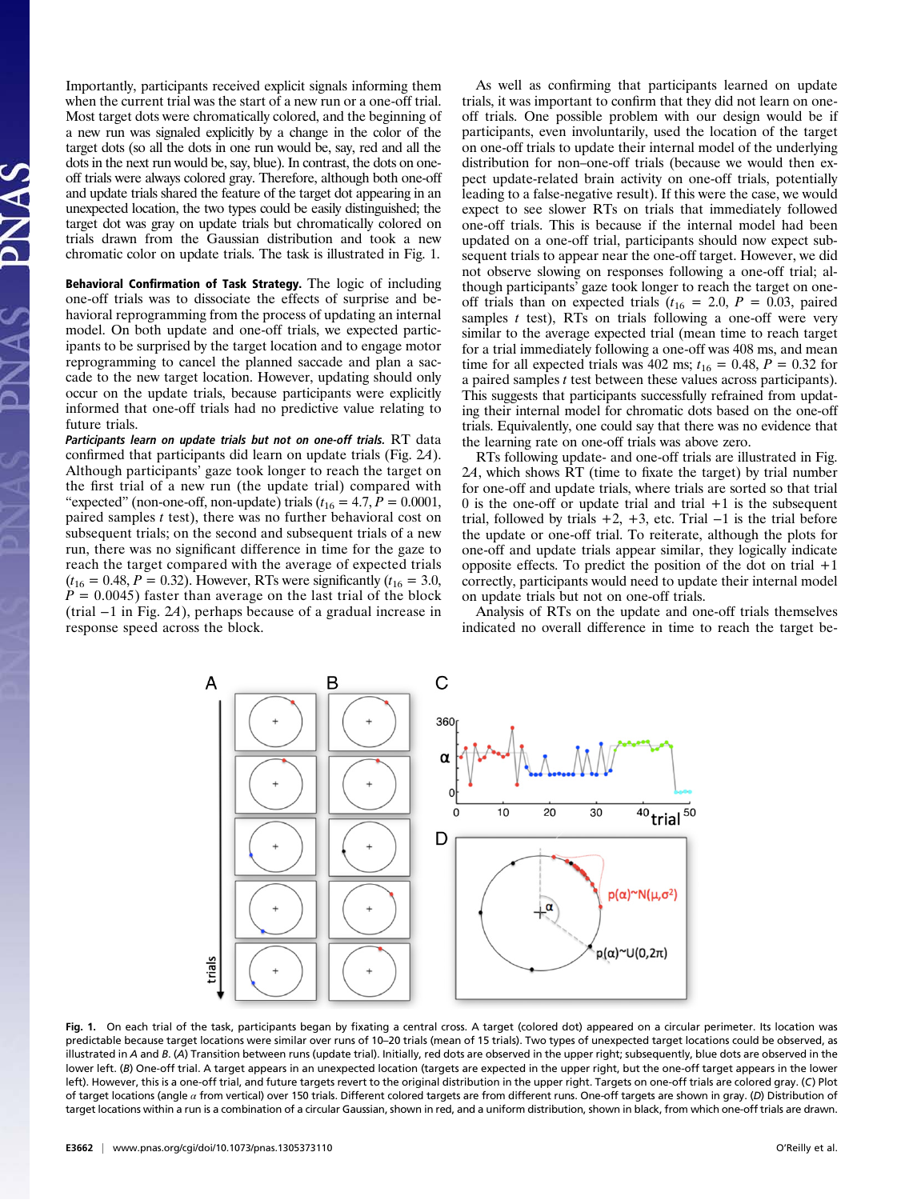Importantly, participants received explicit signals informing them when the current trial was the start of a new run or a one-off trial. Most target dots were chromatically colored, and the beginning of a new run was signaled explicitly by a change in the color of the target dots (so all the dots in one run would be, say, red and all the dots in the next run would be, say, blue). In contrast, the dots on oneoff trials were always colored gray. Therefore, although both one-off and update trials shared the feature of the target dot appearing in an unexpected location, the two types could be easily distinguished; the target dot was gray on update trials but chromatically colored on trials drawn from the Gaussian distribution and took a new chromatic color on update trials. The task is illustrated in Fig. 1.

Behavioral Confirmation of Task Strategy. The logic of including one-off trials was to dissociate the effects of surprise and behavioral reprogramming from the process of updating an internal model. On both update and one-off trials, we expected participants to be surprised by the target location and to engage motor reprogramming to cancel the planned saccade and plan a saccade to the new target location. However, updating should only occur on the update trials, because participants were explicitly informed that one-off trials had no predictive value relating to future trials.

Participants learn on update trials but not on one-off trials. RT data confirmed that participants did learn on update trials (Fig. 2A). Although participants' gaze took longer to reach the target on the first trial of a new run (the update trial) compared with "expected" (non-one-off, non-update) trials  $(t_{16} = 4.7, P = 0.0001,$ paired samples  $t$  test), there was no further behavioral cost on subsequent trials; on the second and subsequent trials of a new run, there was no significant difference in time for the gaze to reach the target compared with the average of expected trials  $(t_{16} = 0.48, P = 0.32)$ . However, RTs were significantly  $(t_{16} = 3.0,$  $P = 0.0045$ ) faster than average on the last trial of the block (trial −1 in Fig. 2A), perhaps because of a gradual increase in response speed across the block.

As well as confirming that participants learned on update trials, it was important to confirm that they did not learn on oneoff trials. One possible problem with our design would be if participants, even involuntarily, used the location of the target on one-off trials to update their internal model of the underlying distribution for non–one-off trials (because we would then expect update-related brain activity on one-off trials, potentially leading to a false-negative result). If this were the case, we would expect to see slower RTs on trials that immediately followed one-off trials. This is because if the internal model had been updated on a one-off trial, participants should now expect subsequent trials to appear near the one-off target. However, we did not observe slowing on responses following a one-off trial; although participants' gaze took longer to reach the target on oneoff trials than on expected trials ( $t_{16} = 2.0$ ,  $P = 0.03$ , paired samples  $t$  test), RTs on trials following a one-off were very similar to the average expected trial (mean time to reach target for a trial immediately following a one-off was 408 ms, and mean time for all expected trials was 402 ms;  $t_{16} = 0.48$ ,  $P = 0.32$  for a paired samples t test between these values across participants). This suggests that participants successfully refrained from updating their internal model for chromatic dots based on the one-off trials. Equivalently, one could say that there was no evidence that the learning rate on one-off trials was above zero.

RTs following update- and one-off trials are illustrated in Fig. 2A, which shows RT (time to fixate the target) by trial number for one-off and update trials, where trials are sorted so that trial 0 is the one-off or update trial and trial  $+1$  is the subsequent trial, followed by trials  $+2$ ,  $+3$ , etc. Trial  $-1$  is the trial before the update or one-off trial. To reiterate, although the plots for one-off and update trials appear similar, they logically indicate opposite effects. To predict the position of the dot on trial +1 correctly, participants would need to update their internal model on update trials but not on one-off trials.

Analysis of RTs on the update and one-off trials themselves indicated no overall difference in time to reach the target be-



Fig. 1. On each trial of the task, participants began by fixating a central cross. A target (colored dot) appeared on a circular perimeter. Its location was predictable because target locations were similar over runs of 10–20 trials (mean of 15 trials). Two types of unexpected target locations could be observed, as illustrated in A and B. (A) Transition between runs (update trial). Initially, red dots are observed in the upper right; subsequently, blue dots are observed in the lower left. (B) One-off trial. A target appears in an unexpected location (targets are expected in the upper right, but the one-off target appears in the lower left). However, this is a one-off trial, and future targets revert to the original distribution in the upper right. Targets on one-off trials are colored gray. (C) Plot of target locations (angle  $\alpha$  from vertical) over 150 trials. Different colored targets are from different runs. One-off targets are shown in gray. (D) Distribution of target locations within a run is a combination of a circular Gaussian, shown in red, and a uniform distribution, shown in black, from which one-off trials are drawn.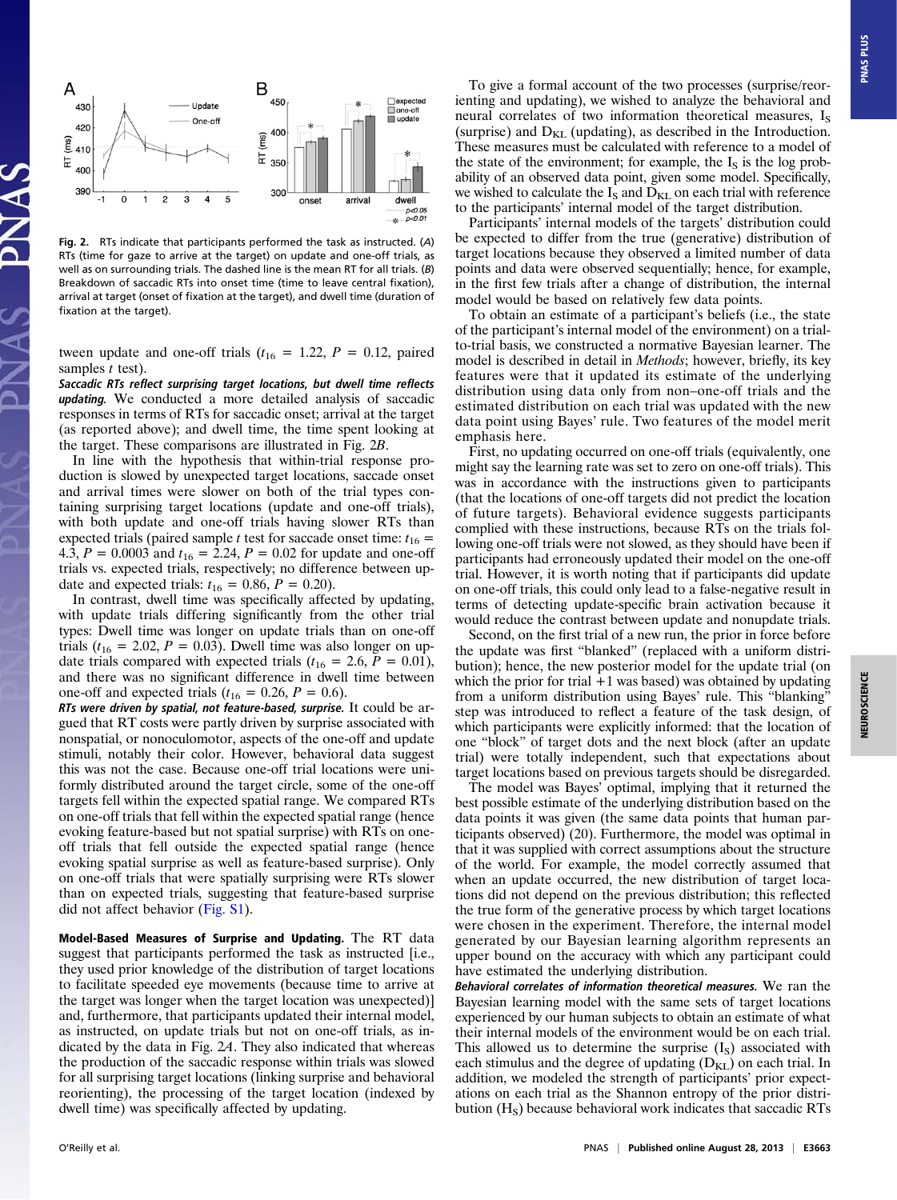

Fig. 2. RTs indicate that participants performed the task as instructed. (A) RTs (time for gaze to arrive at the target) on update and one-off trials, as well as on surrounding trials. The dashed line is the mean RT for all trials.  $(B)$ Breakdown of saccadic RTs into onset time (time to leave central fixation), arrival at target (onset of fixation at the target), and dwell time (duration of fixation at the target).

tween update and one-off trials  $(t_{16} = 1.22, P = 0.12,$  paired samples  $t$  test).

Saccadic RTs reflect surprising target locations, but dwell time reflects updating. We conducted a more detailed analysis of saccadic responses in terms of RTs for saccadic onset; arrival at the target (as reported above); and dwell time, the time spent looking at the target. These comparisons are illustrated in Fig. 2B.

In line with the hypothesis that within-trial response production is slowed by unexpected target locations, saccade onset and arrival times were slower on both of the trial types containing surprising target locations (update and one-off trials), with both update and one-off trials having slower RTs than expected trials (paired sample t test for saccade onset time:  $t_{16}$  = 4.3,  $P = 0.0003$  and  $t_{16} = 2.24$ ,  $P = 0.02$  for update and one-off trials vs. expected trials, respectively; no difference between update and expected trials:  $t_{16} = 0.86, P = 0.20$ .

In contrast, dwell time was specifically affected by updating, with update trials differing significantly from the other trial types: Dwell time was longer on update trials than on one-off trials ( $t_{16}$  = 2.02, P = 0.03). Dwell time was also longer on update trials compared with expected trials ( $t_{16} = 2.6$ ,  $P = 0.01$ ), and there was no significant difference in dwell time between one-off and expected trials ( $t_{16} = 0.26$ ,  $P = 0.6$ ).

RTs were driven by spatial, not feature-based, surprise. It could be argued that RT costs were partly driven by surprise associated with nonspatial, or nonoculomotor, aspects of the one-off and update stimuli, notably their color. However, behavioral data suggest this was not the case. Because one-off trial locations were uniformly distributed around the target circle, some of the one-off targets fell within the expected spatial range. We compared RTs on one-off trials that fell within the expected spatial range (hence evoking feature-based but not spatial surprise) with RTs on oneoff trials that fell outside the expected spatial range (hence evoking spatial surprise as well as feature-based surprise). Only on one-off trials that were spatially surprising were RTs slower than on expected trials, suggesting that feature-based surprise did not affect behavior ([Fig. S1](http://www.pnas.org/lookup/suppl/doi:10.1073/pnas.1305373110/-/DCSupplemental/pnas.201305373SI.pdf?targetid=nameddest=SF1)).

Model-Based Measures of Surprise and Updating. The RT data suggest that participants performed the task as instructed [i.e., they used prior knowledge of the distribution of target locations to facilitate speeded eye movements (because time to arrive at the target was longer when the target location was unexpected)] and, furthermore, that participants updated their internal model, as instructed, on update trials but not on one-off trials, as indicated by the data in Fig. 2A. They also indicated that whereas the production of the saccadic response within trials was slowed for all surprising target locations (linking surprise and behavioral reorienting), the processing of the target location (indexed by dwell time) was specifically affected by updating.

To give a formal account of the two processes (surprise/reorienting and updating), we wished to analyze the behavioral and neural correlates of two information theoretical measures,  $I<sub>S</sub>$ (surprise) and  $D_{KL}$  (updating), as described in the Introduction. These measures must be calculated with reference to a model of the state of the environment; for example, the  $I<sub>S</sub>$  is the log probability of an observed data point, given some model. Specifically, we wished to calculate the  $I<sub>S</sub>$  and  $D<sub>KL</sub>$  on each trial with reference to the participants' internal model of the target distribution.

Participants' internal models of the targets' distribution could be expected to differ from the true (generative) distribution of target locations because they observed a limited number of data points and data were observed sequentially; hence, for example, in the first few trials after a change of distribution, the internal model would be based on relatively few data points.

To obtain an estimate of a participant's beliefs (i.e., the state of the participant's internal model of the environment) on a trialto-trial basis, we constructed a normative Bayesian learner. The model is described in detail in Methods; however, briefly, its key features were that it updated its estimate of the underlying distribution using data only from non–one-off trials and the estimated distribution on each trial was updated with the new data point using Bayes' rule. Two features of the model merit emphasis here.

First, no updating occurred on one-off trials (equivalently, one might say the learning rate was set to zero on one-off trials). This was in accordance with the instructions given to participants (that the locations of one-off targets did not predict the location of future targets). Behavioral evidence suggests participants complied with these instructions, because RTs on the trials following one-off trials were not slowed, as they should have been if participants had erroneously updated their model on the one-off trial. However, it is worth noting that if participants did update on one-off trials, this could only lead to a false-negative result in terms of detecting update-specific brain activation because it would reduce the contrast between update and nonupdate trials.

Second, on the first trial of a new run, the prior in force before the update was first "blanked" (replaced with a uniform distribution); hence, the new posterior model for the update trial (on which the prior for trial  $+1$  was based) was obtained by updating from a uniform distribution using Bayes' rule. This "blanking' step was introduced to reflect a feature of the task design, of which participants were explicitly informed: that the location of one "block" of target dots and the next block (after an update trial) were totally independent, such that expectations about target locations based on previous targets should be disregarded.

The model was Bayes' optimal, implying that it returned the best possible estimate of the underlying distribution based on the data points it was given (the same data points that human participants observed) (20). Furthermore, the model was optimal in that it was supplied with correct assumptions about the structure of the world. For example, the model correctly assumed that when an update occurred, the new distribution of target locations did not depend on the previous distribution; this reflected the true form of the generative process by which target locations were chosen in the experiment. Therefore, the internal model generated by our Bayesian learning algorithm represents an upper bound on the accuracy with which any participant could have estimated the underlying distribution.

Behavioral correlates of information theoretical measures. We ran the Bayesian learning model with the same sets of target locations experienced by our human subjects to obtain an estimate of what their internal models of the environment would be on each trial. This allowed us to determine the surprise  $(I<sub>S</sub>)$  associated with each stimulus and the degree of updating  $(D_{KL})$  on each trial. In addition, we modeled the strength of participants' prior expectations on each trial as the Shannon entropy of the prior distribution  $(H<sub>S</sub>)$  because behavioral work indicates that saccadic RTs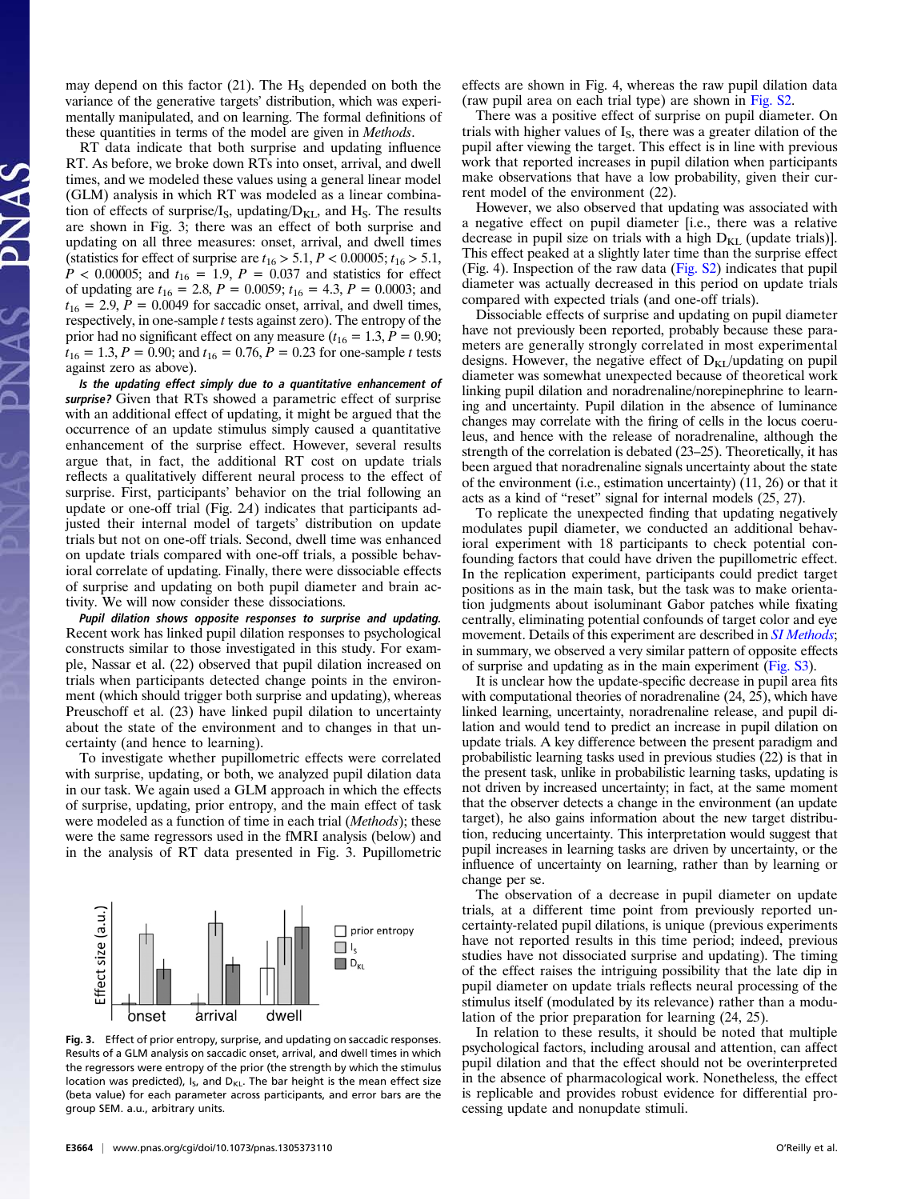may depend on this factor (21). The  $H<sub>S</sub>$  depended on both the variance of the generative targets' distribution, which was experimentally manipulated, and on learning. The formal definitions of these quantities in terms of the model are given in Methods.

RT data indicate that both surprise and updating influence RT. As before, we broke down RTs into onset, arrival, and dwell times, and we modeled these values using a general linear model (GLM) analysis in which RT was modeled as a linear combination of effects of surprise/ $I<sub>S</sub>$ , updating/ $D<sub>KL</sub>$ , and  $H<sub>S</sub>$ . The results are shown in Fig. 3; there was an effect of both surprise and updating on all three measures: onset, arrival, and dwell times (statistics for effect of surprise are  $t_{16} > 5.1, P < 0.00005; t_{16} > 5.1,$  $P < 0.00005$ ; and  $t_{16} = 1.9$ ,  $P = 0.037$  and statistics for effect of updating are  $t_{16} = 2.8$ ,  $P = 0.0059$ ;  $t_{16} = 4.3$ ,  $P = 0.0003$ ; and  $t_{16}$  = 2.9, P = 0.0049 for saccadic onset, arrival, and dwell times, respectively, in one-sample  $t$  tests against zero). The entropy of the prior had no significant effect on any measure  $(t_{16} = 1.3, P = 0.90;$  $t_{16} = 1.3, P = 0.90;$  and  $t_{16} = 0.76, P = 0.23$  for one-sample t tests against zero as above).

Is the updating effect simply due to a quantitative enhancement of surprise? Given that RTs showed a parametric effect of surprise with an additional effect of updating, it might be argued that the occurrence of an update stimulus simply caused a quantitative enhancement of the surprise effect. However, several results argue that, in fact, the additional RT cost on update trials reflects a qualitatively different neural process to the effect of surprise. First, participants' behavior on the trial following an update or one-off trial (Fig. 2A) indicates that participants adjusted their internal model of targets' distribution on update trials but not on one-off trials. Second, dwell time was enhanced on update trials compared with one-off trials, a possible behavioral correlate of updating. Finally, there were dissociable effects of surprise and updating on both pupil diameter and brain activity. We will now consider these dissociations.

Pupil dilation shows opposite responses to surprise and updating. Recent work has linked pupil dilation responses to psychological constructs similar to those investigated in this study. For example, Nassar et al. (22) observed that pupil dilation increased on trials when participants detected change points in the environment (which should trigger both surprise and updating), whereas Preuschoff et al. (23) have linked pupil dilation to uncertainty about the state of the environment and to changes in that uncertainty (and hence to learning).

To investigate whether pupillometric effects were correlated with surprise, updating, or both, we analyzed pupil dilation data in our task. We again used a GLM approach in which the effects of surprise, updating, prior entropy, and the main effect of task were modeled as a function of time in each trial (Methods); these were the same regressors used in the fMRI analysis (below) and in the analysis of RT data presented in Fig. 3. Pupillometric



Fig. 3. Effect of prior entropy, surprise, and updating on saccadic responses. Results of a GLM analysis on saccadic onset, arrival, and dwell times in which the regressors were entropy of the prior (the strength by which the stimulus location was predicted),  $I_{S}$ , and  $D_{KL}$ . The bar height is the mean effect size (beta value) for each parameter across participants, and error bars are the group SEM. a.u., arbitrary units.

effects are shown in Fig. 4, whereas the raw pupil dilation data (raw pupil area on each trial type) are shown in [Fig. S2](http://www.pnas.org/lookup/suppl/doi:10.1073/pnas.1305373110/-/DCSupplemental/pnas.201305373SI.pdf?targetid=nameddest=SF2).

There was a positive effect of surprise on pupil diameter. On trials with higher values of  $I<sub>S</sub>$ , there was a greater dilation of the pupil after viewing the target. This effect is in line with previous work that reported increases in pupil dilation when participants make observations that have a low probability, given their current model of the environment (22).

However, we also observed that updating was associated with a negative effect on pupil diameter [i.e., there was a relative decrease in pupil size on trials with a high  $D_{KL}$  (update trials)]. This effect peaked at a slightly later time than the surprise effect (Fig. 4). Inspection of the raw data ([Fig. S2](http://www.pnas.org/lookup/suppl/doi:10.1073/pnas.1305373110/-/DCSupplemental/pnas.201305373SI.pdf?targetid=nameddest=SF2)) indicates that pupil diameter was actually decreased in this period on update trials compared with expected trials (and one-off trials).

Dissociable effects of surprise and updating on pupil diameter have not previously been reported, probably because these parameters are generally strongly correlated in most experimental designs. However, the negative effect of  $D_{KL}/$ updating on pupil diameter was somewhat unexpected because of theoretical work linking pupil dilation and noradrenaline/norepinephrine to learning and uncertainty. Pupil dilation in the absence of luminance changes may correlate with the firing of cells in the locus coeruleus, and hence with the release of noradrenaline, although the strength of the correlation is debated (23–25). Theoretically, it has been argued that noradrenaline signals uncertainty about the state of the environment (i.e., estimation uncertainty) (11, 26) or that it acts as a kind of "reset" signal for internal models (25, 27).

To replicate the unexpected finding that updating negatively modulates pupil diameter, we conducted an additional behavioral experiment with 18 participants to check potential confounding factors that could have driven the pupillometric effect. In the replication experiment, participants could predict target positions as in the main task, but the task was to make orientation judgments about isoluminant Gabor patches while fixating centrally, eliminating potential confounds of target color and eye movement. Details of this experiment are described in **SI** Methods; in summary, we observed a very similar pattern of opposite effects of surprise and updating as in the main experiment [\(Fig. S3](http://www.pnas.org/lookup/suppl/doi:10.1073/pnas.1305373110/-/DCSupplemental/pnas.201305373SI.pdf?targetid=nameddest=SF3)).

It is unclear how the update-specific decrease in pupil area fits with computational theories of noradrenaline  $(24, 25)$ , which have linked learning, uncertainty, noradrenaline release, and pupil dilation and would tend to predict an increase in pupil dilation on update trials. A key difference between the present paradigm and probabilistic learning tasks used in previous studies (22) is that in the present task, unlike in probabilistic learning tasks, updating is not driven by increased uncertainty; in fact, at the same moment that the observer detects a change in the environment (an update target), he also gains information about the new target distribution, reducing uncertainty. This interpretation would suggest that pupil increases in learning tasks are driven by uncertainty, or the influence of uncertainty on learning, rather than by learning or change per se.

The observation of a decrease in pupil diameter on update trials, at a different time point from previously reported uncertainty-related pupil dilations, is unique (previous experiments have not reported results in this time period; indeed, previous studies have not dissociated surprise and updating). The timing of the effect raises the intriguing possibility that the late dip in pupil diameter on update trials reflects neural processing of the stimulus itself (modulated by its relevance) rather than a modulation of the prior preparation for learning (24, 25).

In relation to these results, it should be noted that multiple psychological factors, including arousal and attention, can affect pupil dilation and that the effect should not be overinterpreted in the absence of pharmacological work. Nonetheless, the effect is replicable and provides robust evidence for differential processing update and nonupdate stimuli.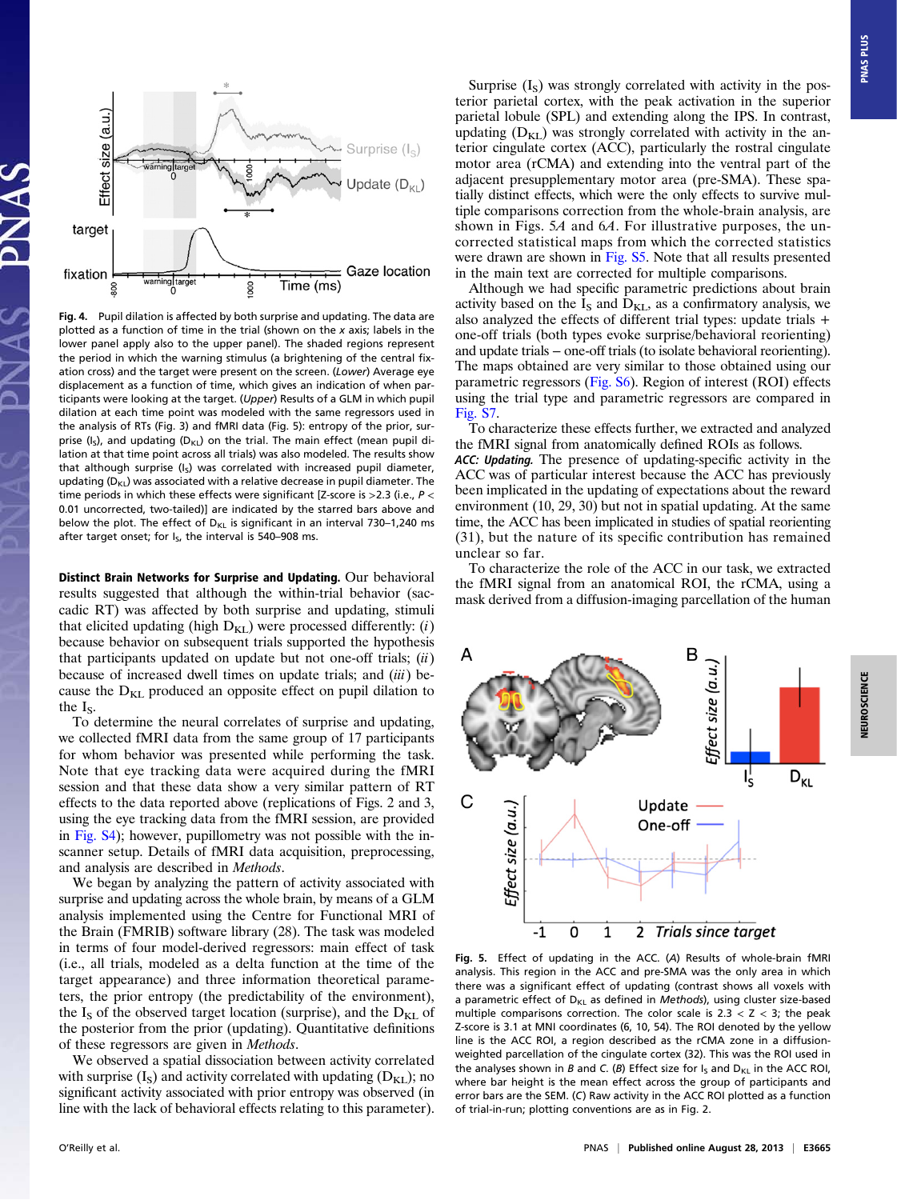

Fig. 4. Pupil dilation is affected by both surprise and updating. The data are plotted as a function of time in the trial (shown on the  $x$  axis; labels in the lower panel apply also to the upper panel). The shaded regions represent the period in which the warning stimulus (a brightening of the central fixation cross) and the target were present on the screen. (Lower) Average eye displacement as a function of time, which gives an indication of when participants were looking at the target. (Upper) Results of a GLM in which pupil dilation at each time point was modeled with the same regressors used in the analysis of RTs (Fig. 3) and fMRI data (Fig. 5): entropy of the prior, surprise (I<sub>S</sub>), and updating ( $D_{KL}$ ) on the trial. The main effect (mean pupil dilation at that time point across all trials) was also modeled. The results show that although surprise  $(I_5)$  was correlated with increased pupil diameter, updating  $(D_{KL})$  was associated with a relative decrease in pupil diameter. The time periods in which these effects were significant [Z-score is >2.3 (i.e., P < 0.01 uncorrected, two-tailed)] are indicated by the starred bars above and below the plot. The effect of  $D_{KL}$  is significant in an interval 730-1,240 ms after target onset; for  $I<sub>S</sub>$ , the interval is 540–908 ms.

Distinct Brain Networks for Surprise and Updating. Our behavioral results suggested that although the within-trial behavior (saccadic RT) was affected by both surprise and updating, stimuli that elicited updating (high  $D_{KL}$ ) were processed differently: (i) because behavior on subsequent trials supported the hypothesis that participants updated on update but not one-off trials;  $(ii)$ because of increased dwell times on update trials; and (iii) because the  $D_{KL}$  produced an opposite effect on pupil dilation to the  $I<sub>S</sub>$ .

To determine the neural correlates of surprise and updating, we collected fMRI data from the same group of 17 participants for whom behavior was presented while performing the task. Note that eye tracking data were acquired during the fMRI session and that these data show a very similar pattern of RT effects to the data reported above (replications of Figs. 2 and 3, using the eye tracking data from the fMRI session, are provided in [Fig. S4\)](http://www.pnas.org/lookup/suppl/doi:10.1073/pnas.1305373110/-/DCSupplemental/pnas.201305373SI.pdf?targetid=nameddest=SF4); however, pupillometry was not possible with the inscanner setup. Details of fMRI data acquisition, preprocessing, and analysis are described in Methods.

We began by analyzing the pattern of activity associated with surprise and updating across the whole brain, by means of a GLM analysis implemented using the Centre for Functional MRI of the Brain (FMRIB) software library (28). The task was modeled in terms of four model-derived regressors: main effect of task (i.e., all trials, modeled as a delta function at the time of the target appearance) and three information theoretical parameters, the prior entropy (the predictability of the environment), the I<sub>S</sub> of the observed target location (surprise), and the  $D_{KL}$  of the posterior from the prior (updating). Quantitative definitions of these regressors are given in Methods.

We observed a spatial dissociation between activity correlated with surprise  $(I<sub>S</sub>)$  and activity correlated with updating  $(D<sub>KL</sub>)$ ; no significant activity associated with prior entropy was observed (in line with the lack of behavioral effects relating to this parameter).

terior cingulate cortex (ACC), particularly the rostral cingulate motor area (rCMA) and extending into the ventral part of the adjacent presupplementary motor area (pre-SMA). These spatially distinct effects, which were the only effects to survive multiple comparisons correction from the whole-brain analysis, are shown in Figs. 5A and 6A. For illustrative purposes, the uncorrected statistical maps from which the corrected statistics were drawn are shown in [Fig. S5](http://www.pnas.org/lookup/suppl/doi:10.1073/pnas.1305373110/-/DCSupplemental/pnas.201305373SI.pdf?targetid=nameddest=SF5). Note that all results presented in the main text are corrected for multiple comparisons.

Although we had specific parametric predictions about brain activity based on the  $I<sub>S</sub>$  and  $D<sub>KL</sub>$ , as a confirmatory analysis, we also analyzed the effects of different trial types: update trials + one-off trials (both types evoke surprise/behavioral reorienting) and update trials − one-off trials (to isolate behavioral reorienting). The maps obtained are very similar to those obtained using our parametric regressors ([Fig. S6\)](http://www.pnas.org/lookup/suppl/doi:10.1073/pnas.1305373110/-/DCSupplemental/pnas.201305373SI.pdf?targetid=nameddest=SF6). Region of interest (ROI) effects using the trial type and parametric regressors are compared in [Fig. S7.](http://www.pnas.org/lookup/suppl/doi:10.1073/pnas.1305373110/-/DCSupplemental/pnas.201305373SI.pdf?targetid=nameddest=SF7)

To characterize these effects further, we extracted and analyzed the fMRI signal from anatomically defined ROIs as follows. ACC: Updating. The presence of updating-specific activity in the ACC was of particular interest because the ACC has previously been implicated in the updating of expectations about the reward environment (10, 29, 30) but not in spatial updating. At the same time, the ACC has been implicated in studies of spatial reorienting (31), but the nature of its specific contribution has remained unclear so far.

To characterize the role of the ACC in our task, we extracted the fMRI signal from an anatomical ROI, the rCMA, using a mask derived from a diffusion-imaging parcellation of the human



Fig. 5. Effect of updating in the ACC. (A) Results of whole-brain fMRI analysis. This region in the ACC and pre-SMA was the only area in which there was a significant effect of updating (contrast shows all voxels with a parametric effect of  $D_{KL}$  as defined in Methods), using cluster size-based multiple comparisons correction. The color scale is  $2.3 < Z < 3$ ; the peak Z-score is 3.1 at MNI coordinates (6, 10, 54). The ROI denoted by the yellow line is the ACC ROI, a region described as the rCMA zone in a diffusionweighted parcellation of the cingulate cortex (32). This was the ROI used in the analyses shown in B and C. (B) Effect size for  $I_S$  and  $D_{KL}$  in the ACC ROI, where bar height is the mean effect across the group of participants and error bars are the SEM. (C) Raw activity in the ACC ROI plotted as a function of trial-in-run; plotting conventions are as in Fig. 2.

**PNAS PLUS**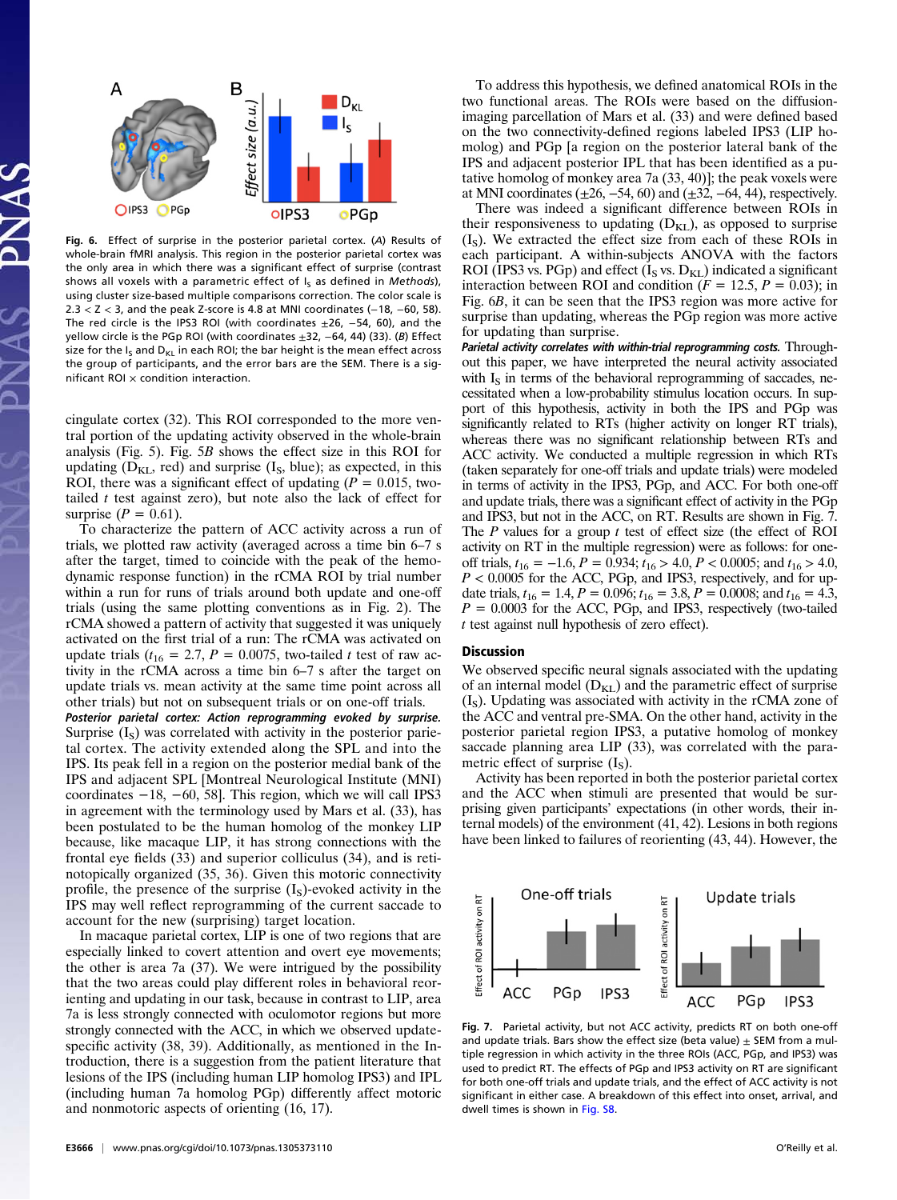

Fig. 6. Effect of surprise in the posterior parietal cortex. (A) Results of whole-brain fMRI analysis. This region in the posterior parietal cortex was the only area in which there was a significant effect of surprise (contrast shows all voxels with a parametric effect of  $I<sub>S</sub>$  as defined in Methods), using cluster size-based multiple comparisons correction. The color scale is 2.3 < Z < 3, and the peak Z-score is 4.8 at MNI coordinates (−18, −60, 58). The red circle is the IPS3 ROI (with coordinates ±26, -54, 60), and the yellow circle is the PGp ROI (with coordinates ±32, -64, 44) (33). (B) Effect size for the  $I_s$  and  $D_{KL}$  in each ROI; the bar height is the mean effect across the group of participants, and the error bars are the SEM. There is a sig $n$ ificant ROI  $\times$  condition interaction.

cingulate cortex (32). This ROI corresponded to the more ventral portion of the updating activity observed in the whole-brain analysis (Fig. 5). Fig. 5B shows the effect size in this ROI for updating  $(D_{\text{KL}}$ , red) and surprise  $(I_{\text{S}}$ , blue); as expected, in this ROI, there was a significant effect of updating ( $P = 0.015$ , twotailed  $t$  test against zero), but note also the lack of effect for surprise  $(P = 0.61)$ .

To characterize the pattern of ACC activity across a run of trials, we plotted raw activity (averaged across a time bin 6–7 s after the target, timed to coincide with the peak of the hemodynamic response function) in the rCMA ROI by trial number within a run for runs of trials around both update and one-off trials (using the same plotting conventions as in Fig. 2). The rCMA showed a pattern of activity that suggested it was uniquely activated on the first trial of a run: The rCMA was activated on update trials ( $t_{16} = 2.7$ ,  $P = 0.0075$ , two-tailed t test of raw activity in the rCMA across a time bin 6–7 s after the target on update trials vs. mean activity at the same time point across all other trials) but not on subsequent trials or on one-off trials.

Posterior parietal cortex: Action reprogramming evoked by surprise. Surprise  $(I<sub>s</sub>)$  was correlated with activity in the posterior parietal cortex. The activity extended along the SPL and into the IPS. Its peak fell in a region on the posterior medial bank of the IPS and adjacent SPL [Montreal Neurological Institute (MNI) Surprise  $(1_S)$  was correlated with activity in the posterior parietal cortex. The activity extended along the SPL and into the IPS. Its peak fell in a region on the posterior medial bank of the IPS and adjacent SPL [Mont in agreement with the terminology used by Mars et al. (33), has been postulated to be the human homolog of the monkey LIP because, like macaque LIP, it has strong connections with the frontal eye fields (33) and superior colliculus (34), and is retinotopically organized (35, 36). Given this motoric connectivity profile, the presence of the surprise  $(I<sub>S</sub>)$ -evoked activity in the IPS may well reflect reprogramming of the current saccade to account for the new (surprising) target location.

In macaque parietal cortex, LIP is one of two regions that are especially linked to covert attention and overt eye movements; the other is area 7a (37). We were intrigued by the possibility that the two areas could play different roles in behavioral reorienting and updating in our task, because in contrast to LIP, area 7a is less strongly connected with oculomotor regions but more strongly connected with the ACC, in which we observed updatespecific activity (38, 39). Additionally, as mentioned in the Introduction, there is a suggestion from the patient literature that lesions of the IPS (including human LIP homolog IPS3) and IPL (including human 7a homolog PGp) differently affect motoric and nonmotoric aspects of orienting (16, 17).

To address this hypothesis, we defined anatomical ROIs in the two functional areas. The ROIs were based on the diffusionimaging parcellation of Mars et al. (33) and were defined based on the two connectivity-defined regions labeled IPS3 (LIP homolog) and PGp [a region on the posterior lateral bank of the IPS and adjacent posterior IPL that has been identified as a putative homolog of monkey area 7a (33, 40)]; the peak voxels were at MNI coordinates  $(\pm 26, -54, 60)$  and  $(\pm 32, -64, 44)$ , respectively.

There was indeed a significant difference between ROIs in their responsiveness to updating  $(D_{KL})$ , as opposed to surprise  $(I<sub>S</sub>)$ . We extracted the effect size from each of these ROIs in each participant. A within-subjects ANOVA with the factors ROI (IPS3 vs. PGp) and effect ( $I<sub>S</sub>$  vs.  $D<sub>KL</sub>$ ) indicated a significant interaction between ROI and condition ( $F = 12.5$ ,  $P = 0.03$ ); in Fig. 6B, it can be seen that the IPS3 region was more active for surprise than updating, whereas the PGp region was more active for updating than surprise.

Parietal activity correlates with within-trial reprogramming costs. Throughout this paper, we have interpreted the neural activity associated with  $I<sub>S</sub>$  in terms of the behavioral reprogramming of saccades, necessitated when a low-probability stimulus location occurs. In support of this hypothesis, activity in both the IPS and PGp was significantly related to RTs (higher activity on longer RT trials), whereas there was no significant relationship between RTs and ACC activity. We conducted a multiple regression in which RTs (taken separately for one-off trials and update trials) were modeled in terms of activity in the IPS3, PGp, and ACC. For both one-off and update trials, there was a significant effect of activity in the PGp and IPS3, but not in the ACC, on RT. Results are shown in Fig. 7. The  $P$  values for a group  $t$  test of effect size (the effect of ROI activity on RT in the multiple regression) were as follows: for oneoff trials,  $t_{16} = -1.6$ ,  $P = 0.934$ ;  $t_{16} > 4.0$ ,  $P < 0.0005$ ; and  $t_{16} > 4.0$ ,  $P < 0.0005$  for the ACC, PGp, and IPS3, respectively, and for update trials,  $t_{16} = 1.4, P = 0.096$ ;  $t_{16} = 3.8, P = 0.0008$ ; and  $t_{16} = 4.3$ ,  $P = 0.0003$  for the ACC, PGp, and IPS3, respectively (two-tailed t test against null hypothesis of zero effect).

### Discussion

We observed specific neural signals associated with the updating of an internal model  $(D_{KL})$  and the parametric effect of surprise  $(I<sub>S</sub>)$ . Updating was associated with activity in the rCMA zone of the ACC and ventral pre-SMA. On the other hand, activity in the posterior parietal region IPS3, a putative homolog of monkey saccade planning area LIP (33), was correlated with the parametric effect of surprise  $(I<sub>S</sub>)$ .

Activity has been reported in both the posterior parietal cortex and the ACC when stimuli are presented that would be surprising given participants' expectations (in other words, their internal models) of the environment (41, 42). Lesions in both regions have been linked to failures of reorienting (43, 44). However, the



Fig. 7. Parietal activity, but not ACC activity, predicts RT on both one-off and update trials. Bars show the effect size (beta value)  $\pm$  SEM from a multiple regression in which activity in the three ROIs (ACC, PGp, and IPS3) was used to predict RT. The effects of PGp and IPS3 activity on RT are significant for both one-off trials and update trials, and the effect of ACC activity is not significant in either case. A breakdown of this effect into onset, arrival, and dwell times is shown in [Fig. S8.](http://www.pnas.org/lookup/suppl/doi:10.1073/pnas.1305373110/-/DCSupplemental/pnas.201305373SI.pdf?targetid=nameddest=SF8)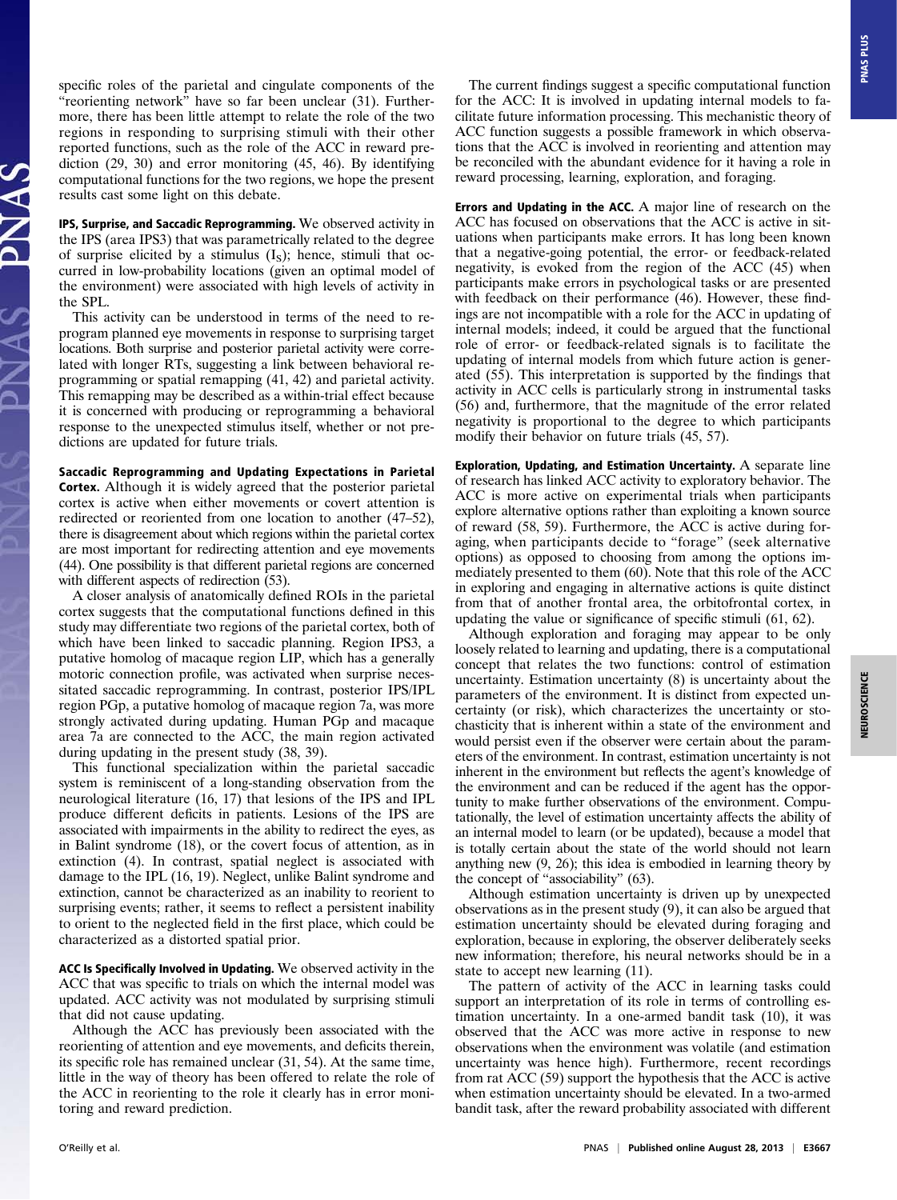**PNAS PLUS** 

specific roles of the parietal and cingulate components of the "reorienting network" have so far been unclear (31). Furthermore, there has been little attempt to relate the role of the two regions in responding to surprising stimuli with their other reported functions, such as the role of the ACC in reward prediction (29, 30) and error monitoring (45, 46). By identifying computational functions for the two regions, we hope the present results cast some light on this debate.

IPS, Surprise, and Saccadic Reprogramming. We observed activity in the IPS (area IPS3) that was parametrically related to the degree of surprise elicited by a stimulus  $(I<sub>S</sub>)$ ; hence, stimuli that occurred in low-probability locations (given an optimal model of the environment) were associated with high levels of activity in the SPL.

This activity can be understood in terms of the need to reprogram planned eye movements in response to surprising target locations. Both surprise and posterior parietal activity were correlated with longer RTs, suggesting a link between behavioral reprogramming or spatial remapping (41, 42) and parietal activity. This remapping may be described as a within-trial effect because it is concerned with producing or reprogramming a behavioral response to the unexpected stimulus itself, whether or not predictions are updated for future trials.

Saccadic Reprogramming and Updating Expectations in Parietal Cortex. Although it is widely agreed that the posterior parietal cortex is active when either movements or covert attention is redirected or reoriented from one location to another (47–52), there is disagreement about which regions within the parietal cortex are most important for redirecting attention and eye movements (44). One possibility is that different parietal regions are concerned with different aspects of redirection  $(53)$ .

A closer analysis of anatomically defined ROIs in the parietal cortex suggests that the computational functions defined in this study may differentiate two regions of the parietal cortex, both of which have been linked to saccadic planning. Region IPS3, a putative homolog of macaque region LIP, which has a generally motoric connection profile, was activated when surprise necessitated saccadic reprogramming. In contrast, posterior IPS/IPL region PGp, a putative homolog of macaque region 7a, was more strongly activated during updating. Human PGp and macaque area 7a are connected to the ACC, the main region activated during updating in the present study (38, 39).

This functional specialization within the parietal saccadic system is reminiscent of a long-standing observation from the neurological literature (16, 17) that lesions of the IPS and IPL produce different deficits in patients. Lesions of the IPS are associated with impairments in the ability to redirect the eyes, as in Balint syndrome (18), or the covert focus of attention, as in extinction (4). In contrast, spatial neglect is associated with damage to the IPL (16, 19). Neglect, unlike Balint syndrome and extinction, cannot be characterized as an inability to reorient to surprising events; rather, it seems to reflect a persistent inability to orient to the neglected field in the first place, which could be characterized as a distorted spatial prior.

ACC Is Specifically Involved in Updating. We observed activity in the ACC that was specific to trials on which the internal model was updated. ACC activity was not modulated by surprising stimuli that did not cause updating.

Although the ACC has previously been associated with the reorienting of attention and eye movements, and deficits therein, its specific role has remained unclear (31, 54). At the same time, little in the way of theory has been offered to relate the role of the ACC in reorienting to the role it clearly has in error monitoring and reward prediction.

The current findings suggest a specific computational function for the ACC: It is involved in updating internal models to facilitate future information processing. This mechanistic theory of ACC function suggests a possible framework in which observations that the ACC is involved in reorienting and attention may be reconciled with the abundant evidence for it having a role in reward processing, learning, exploration, and foraging.

Errors and Updating in the ACC. A major line of research on the ACC has focused on observations that the ACC is active in situations when participants make errors. It has long been known that a negative-going potential, the error- or feedback-related negativity, is evoked from the region of the ACC (45) when participants make errors in psychological tasks or are presented with feedback on their performance (46). However, these findings are not incompatible with a role for the ACC in updating of internal models; indeed, it could be argued that the functional role of error- or feedback-related signals is to facilitate the updating of internal models from which future action is generated (55). This interpretation is supported by the findings that activity in ACC cells is particularly strong in instrumental tasks (56) and, furthermore, that the magnitude of the error related negativity is proportional to the degree to which participants modify their behavior on future trials (45, 57).

Exploration, Updating, and Estimation Uncertainty. A separate line of research has linked ACC activity to exploratory behavior. The ACC is more active on experimental trials when participants explore alternative options rather than exploiting a known source of reward (58, 59). Furthermore, the ACC is active during foraging, when participants decide to "forage" (seek alternative options) as opposed to choosing from among the options immediately presented to them (60). Note that this role of the ACC in exploring and engaging in alternative actions is quite distinct from that of another frontal area, the orbitofrontal cortex, in updating the value or significance of specific stimuli (61, 62).

Although exploration and foraging may appear to be only loosely related to learning and updating, there is a computational concept that relates the two functions: control of estimation uncertainty. Estimation uncertainty (8) is uncertainty about the parameters of the environment. It is distinct from expected uncertainty (or risk), which characterizes the uncertainty or stochasticity that is inherent within a state of the environment and would persist even if the observer were certain about the parameters of the environment. In contrast, estimation uncertainty is not inherent in the environment but reflects the agent's knowledge of the environment and can be reduced if the agent has the opportunity to make further observations of the environment. Computationally, the level of estimation uncertainty affects the ability of an internal model to learn (or be updated), because a model that is totally certain about the state of the world should not learn anything new (9, 26); this idea is embodied in learning theory by the concept of "associability" (63).

Although estimation uncertainty is driven up by unexpected observations as in the present study (9), it can also be argued that estimation uncertainty should be elevated during foraging and exploration, because in exploring, the observer deliberately seeks new information; therefore, his neural networks should be in a state to accept new learning (11).

The pattern of activity of the ACC in learning tasks could support an interpretation of its role in terms of controlling estimation uncertainty. In a one-armed bandit task (10), it was observed that the ACC was more active in response to new observations when the environment was volatile (and estimation uncertainty was hence high). Furthermore, recent recordings from rat ACC (59) support the hypothesis that the ACC is active when estimation uncertainty should be elevated. In a two-armed bandit task, after the reward probability associated with different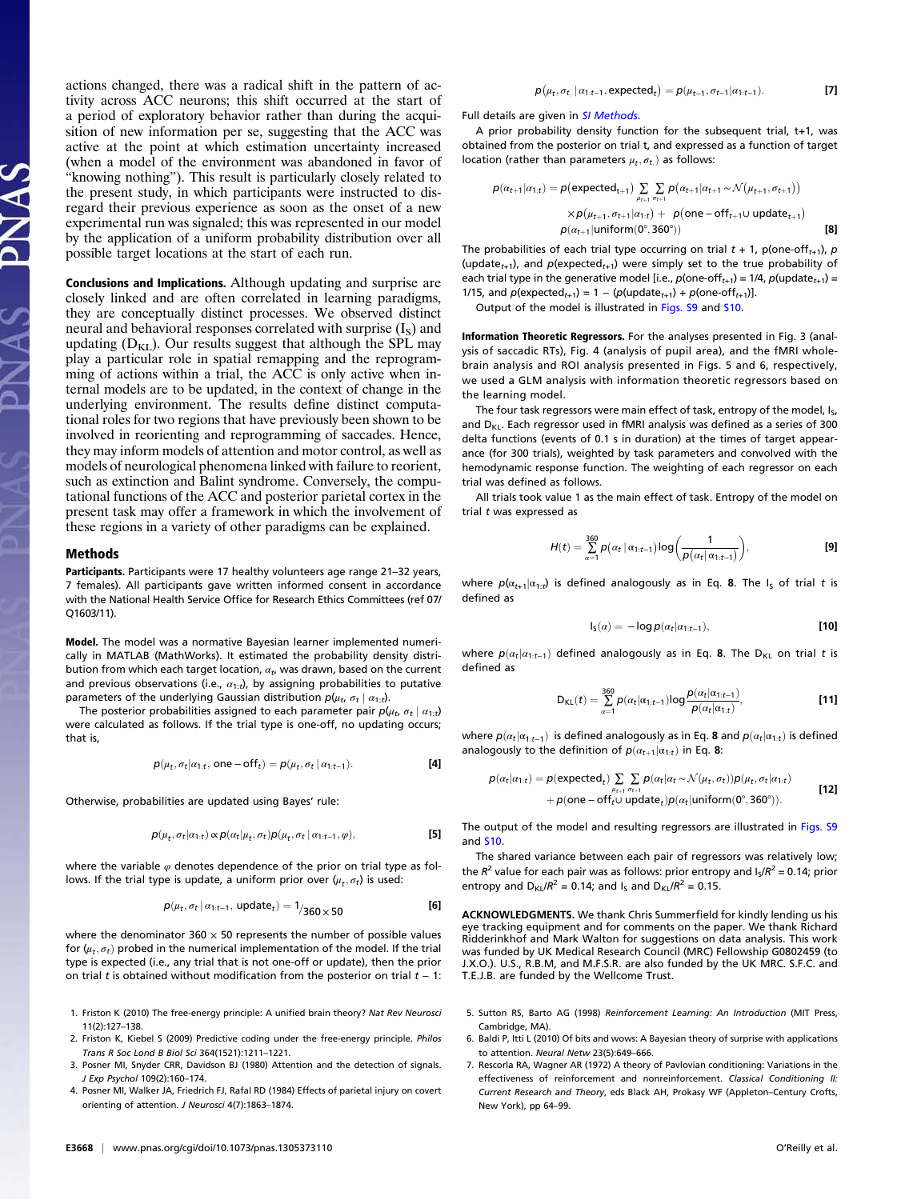actions changed, there was a radical shift in the pattern of activity across ACC neurons; this shift occurred at the start of a period of exploratory behavior rather than during the acquisition of new information per se, suggesting that the ACC was active at the point at which estimation uncertainty increased (when a model of the environment was abandoned in favor of "knowing nothing"). This result is particularly closely related to the present study, in which participants were instructed to disregard their previous experience as soon as the onset of a new experimental run was signaled; this was represented in our model by the application of a uniform probability distribution over all possible target locations at the start of each run.

Conclusions and Implications. Although updating and surprise are closely linked and are often correlated in learning paradigms, they are conceptually distinct processes. We observed distinct neural and behavioral responses correlated with surprise  $(I<sub>S</sub>)$  and updating  $(D_{KL})$ . Our results suggest that although the SPL may play a particular role in spatial remapping and the reprogramming of actions within a trial, the ACC is only active when internal models are to be updated, in the context of change in the underlying environment. The results define distinct computational roles for two regions that have previously been shown to be involved in reorienting and reprogramming of saccades. Hence, they may inform models of attention and motor control, as well as models of neurological phenomena linked with failure to reorient, such as extinction and Balint syndrome. Conversely, the computational functions of the ACC and posterior parietal cortex in the present task may offer a framework in which the involvement of these regions in a variety of other paradigms can be explained.

## Methods

Participants. Participants were 17 healthy volunteers age range 21-32 years, 7 females). All participants gave written informed consent in accordance with the National Health Service Office for Research Ethics Committees (ref 07/ Q1603/11).

Model. The model was a normative Bayesian learner implemented numerically in MATLAB (MathWorks). It estimated the probability density distribution from which each target location,  $a_t$ , was drawn, based on the current and previous observations (i.e.,  $\alpha_{1:t}$ ), by assigning probabilities to putative parameters of the underlying Gaussian distribution  $p(\mu_t, \sigma_t | \alpha_{1:t}).$ 

The posterior probabilities assigned to each parameter pair  $p(\mu_t, \sigma_t | \alpha_{1:t})$ were calculated as follows. If the trial type is one-off, no updating occurs; that is,

$$
p(\mu_t, \sigma_t | \alpha_{1:t}, \text{ one}-\text{off}_t) = p(\mu_t, \sigma_t | \alpha_{1:t-1}).
$$
 [4]

Otherwise, probabilities are updated using Bayes' rule:

$$
\boldsymbol{p}(\mu_t, \sigma_t | \alpha_{1:t}) \propto \boldsymbol{p}(\alpha_t | \mu_t, \sigma_t) \boldsymbol{p}(\mu_t, \sigma_t | \alpha_{1:t-1}, \varphi),
$$
\n[5]

where the variable  $\varphi$  denotes dependence of the prior on trial type as follows. If the trial type is update, a uniform prior over  $(\mu_t, \sigma_t)$  is used:

$$
p(\mu_t, \sigma_t | \alpha_{1:t-1}, \text{update}_t) = 1/360 \times 50
$$
 [6]

where the denominator 360  $\times$  50 represents the number of possible values for  $(\mu_t, \sigma_t)$  probed in the numerical implementation of the model. If the trial type is expected (i.e., any trial that is not one-off or update), then the prior on trial t is obtained without modification from the posterior on trial  $t - 1$ :

- 1. Friston K (2010) The free-energy principle: A unified brain theory? Nat Rev Neurosci 11(2):127–138.
- 2. Friston K, Kiebel S (2009) Predictive coding under the free-energy principle. Philos Trans R Soc Lond B Biol Sci 364(1521):1211–1221.
- 3. Posner MI, Snyder CRR, Davidson BJ (1980) Attention and the detection of signals. J Exp Psychol 109(2):160–174.
- 4. Posner MI, Walker JA, Friedrich FJ, Rafal RD (1984) Effects of parietal injury on covert orienting of attention. J Neurosci 4(7):1863–1874.

$$
p(\mu_t, \sigma_{t,} | \alpha_{1:t-1}, \text{expected}_t) = p(\mu_{t-1}, \sigma_{t-1} | \alpha_{1:t-1}).
$$
 [7]

Full details are given in [SI Methods](http://www.pnas.org/lookup/suppl/doi:10.1073/pnas.1305373110/-/DCSupplemental/pnas.201305373SI.pdf?targetid=nameddest=STXT).

A prior probability density function for the subsequent trial, t+1, was obtained from the posterior on trial t, and expressed as a function of target location (rather than parameters  $\mu_t, \sigma_t$ ) as follows:

$$
p(\alpha_{t+1}|\alpha_{1:t}) = p(\text{expected}_{t+1}) \sum_{\mu_{t+1}} \sum_{\sigma_{t+1}} p(\alpha_{t+1}|\alpha_{t+1} \sim \mathcal{N}(\mu_{t+1}, \sigma_{t+1}))
$$
  
 
$$
\times p(\mu_{t+1}, \sigma_{t+1}|\alpha_{1:t}) + p(\text{one-off}_{t+1} \cup \text{update}_{t+1})
$$
  
 
$$
p(\alpha_{t+1}|\text{uniform}(0^{\circ}, 360^{\circ}))
$$
 [8]

The probabilities of each trial type occurring on trial  $t + 1$ , p(one-off<sub>t+1</sub>), p (update<sub>t+1</sub>), and p(expected<sub>t+1</sub>) were simply set to the true probability of each trial type in the generative model [i.e.,  $p(\text{one-off}_{t+1}) = 1/4$ ,  $p(\text{update}_{t+1}) =$ 1/15, and  $p(\text{expected}_{t+1})=1 - (p(\text{update}_{t+1}) + p(\text{one-off}_{t+1})].$ 

Output of the model is illustrated in [Figs. S9](http://www.pnas.org/lookup/suppl/doi:10.1073/pnas.1305373110/-/DCSupplemental/pnas.201305373SI.pdf?targetid=nameddest=SF9) and [S10](http://www.pnas.org/lookup/suppl/doi:10.1073/pnas.1305373110/-/DCSupplemental/pnas.201305373SI.pdf?targetid=nameddest=SF10).

Information Theoretic Regressors. For the analyses presented in Fig. 3 (analysis of saccadic RTs), Fig. 4 (analysis of pupil area), and the fMRI wholebrain analysis and ROI analysis presented in Figs. 5 and 6, respectively, we used a GLM analysis with information theoretic regressors based on the learning model.

The four task regressors were main effect of task, entropy of the model, I<sub>S</sub>, and  $D_{KL}$ . Each regressor used in fMRI analysis was defined as a series of 300 delta functions (events of 0.1 s in duration) at the times of target appearance (for 300 trials), weighted by task parameters and convolved with the hemodynamic response function. The weighting of each regressor on each trial was defined as follows.

All trials took value 1 as the main effect of task. Entropy of the model on trial  $t$  was expressed as

$$
H(t) = \sum_{\alpha=1}^{360} p(\alpha_t | \alpha_{1:t-1}) \log \left( \frac{1}{p(\alpha_t | \alpha_{1:t-1})} \right),
$$
 [9]

where  $p(\alpha_{t+1}|\alpha_{1:t})$  is defined analogously as in Eq. 8. The I<sub>S</sub> of trial t is defined as

$$
I_{5}(\alpha) = -\log p(\alpha_{t}|\alpha_{1:t-1}), \qquad [10]
$$

where  $p(\alpha_t|\alpha_{1:t-1})$  defined analogously as in Eq. 8. The D<sub>KL</sub> on trial t is defined as

$$
D_{KL}(t) = \sum_{\alpha=1}^{360} p(\alpha_t|\alpha_{1:t-1})\log \frac{p(\alpha_t|\alpha_{1:t-1})}{p(\alpha_t|\alpha_{1:t})},
$$
 [11]

where  $p(a_t|\alpha_{1:t-1})$  is defined analogously as in Eq. 8 and  $p(a_t|\alpha_{1:t})$  is defined analogously to the definition of  $p(\alpha_{t+1}|\alpha_{1:t})$  in Eq. 8:

$$
p(\alpha_t|\alpha_{1:t}) = p(\text{expected}_t) \sum_{\mu_{t+1}} \sum_{\sigma_{t+1}} p(\alpha_t|\alpha_t \sim \mathcal{N}(\mu_t, \sigma_t)) p(\mu_t, \sigma_t|\alpha_{1:t}) + p(\text{one-off}_t \cup \text{update}_t) p(\alpha_t|\text{uniform}(0^\circ, 360^\circ)).
$$
 [12]

The output of the model and resulting regressors are illustrated in [Figs. S9](http://www.pnas.org/lookup/suppl/doi:10.1073/pnas.1305373110/-/DCSupplemental/pnas.201305373SI.pdf?targetid=nameddest=SF9) and [S10](http://www.pnas.org/lookup/suppl/doi:10.1073/pnas.1305373110/-/DCSupplemental/pnas.201305373SI.pdf?targetid=nameddest=SF10).

The shared variance between each pair of regressors was relatively low; the  $R^2$  value for each pair was as follows: prior entropy and  $I_s/R^2 = 0.14$ ; prior entropy and  $D_{KL}/R^2 = 0.14$ ; and  $I_S$  and  $D_{KL}/R^2 = 0.15$ .

ACKNOWLEDGMENTS. We thank Chris Summerfield for kindly lending us his eye tracking equipment and for comments on the paper. We thank Richard Ridderinkhof and Mark Walton for suggestions on data analysis. This work was funded by UK Medical Research Council (MRC) Fellowship G0802459 (to J.X.O.). U.S., R.B.M, and M.F.S.R. are also funded by the UK MRC. S.F.C. and T.E.J.B. are funded by the Wellcome Trust.

- 5. Sutton RS, Barto AG (1998) Reinforcement Learning: An Introduction (MIT Press, Cambridge, MA).
- 6. Baldi P, Itti L (2010) Of bits and wows: A Bayesian theory of surprise with applications to attention. Neural Netw 23(5):649–666.
- 7. Rescorla RA, Wagner AR (1972) A theory of Pavlovian conditioning: Variations in the effectiveness of reinforcement and nonreinforcement. Classical Conditioning II: Current Research and Theory, eds Black AH, Prokasy WF (Appleton–Century Crofts, New York), pp 64–99.